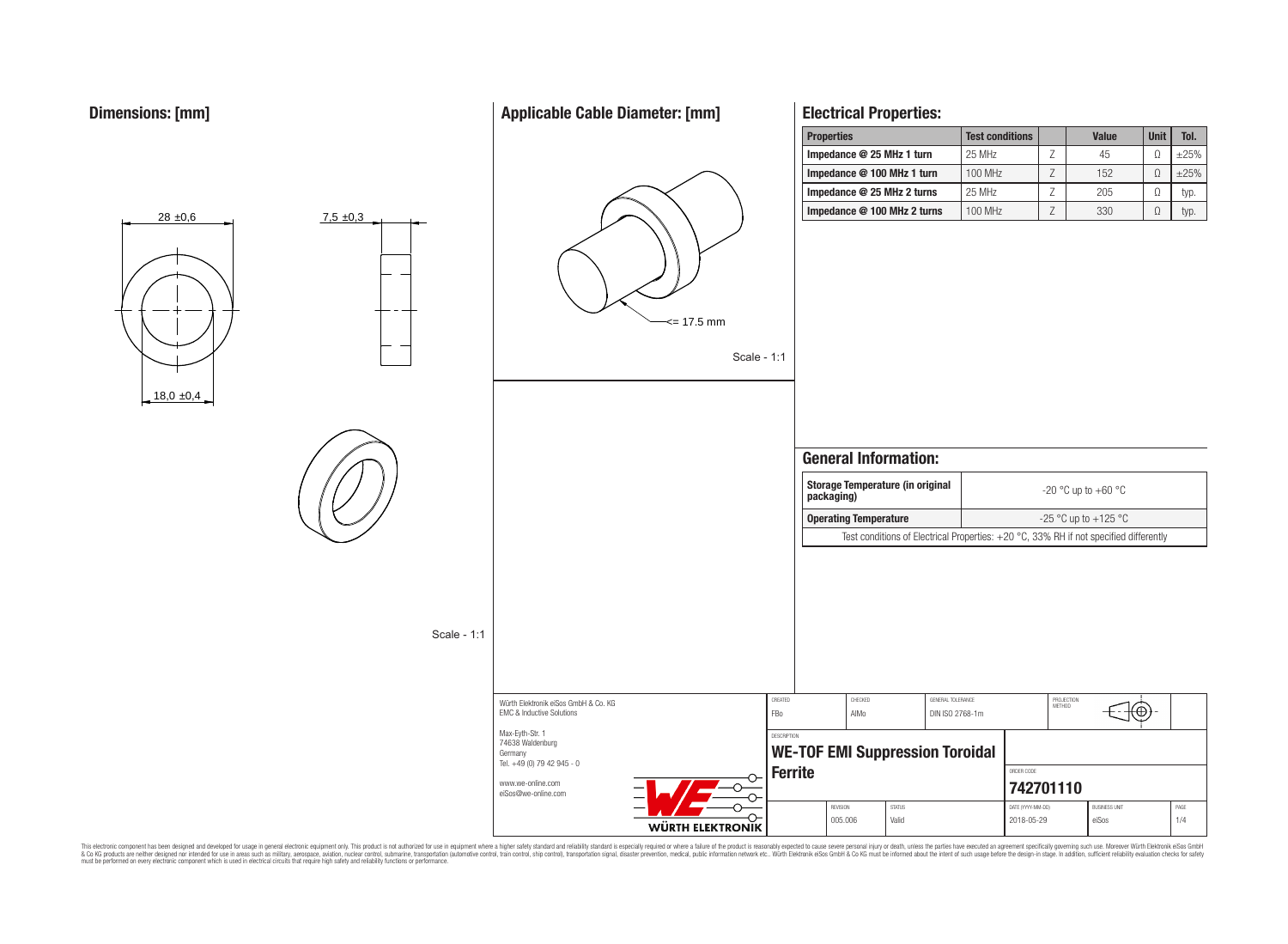# **Applicable Cable Diameter: [mm]**

**Properties Test conditions Value Unit Tol.**

**Electrical Properties:**



This electronic component has been designed and developed for usage in general electronic equipment only. This product is not authorized for subserved requipment where a higher selection equipment where a higher selection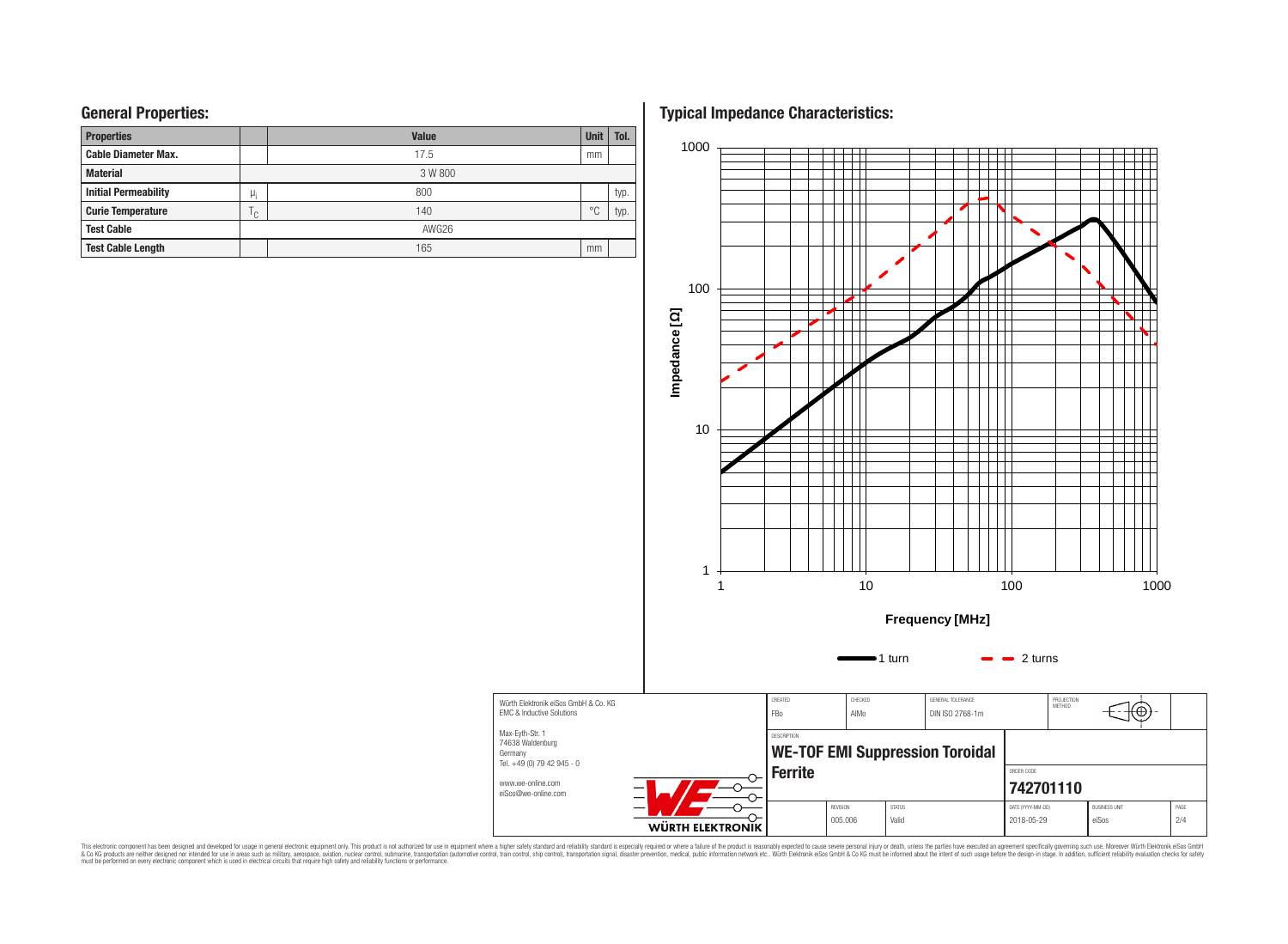| <b>Properties</b>           |              | <b>Value</b> | <b>Unit</b>    | Tol. |  |  |  |  |  |
|-----------------------------|--------------|--------------|----------------|------|--|--|--|--|--|
| <b>Cable Diameter Max.</b>  |              | 17.5         | mm             |      |  |  |  |  |  |
| <b>Material</b>             |              | 3 W 800      |                |      |  |  |  |  |  |
| <b>Initial Permeability</b> | $\mu_i$      | 800          |                | typ. |  |  |  |  |  |
| <b>Curie Temperature</b>    | $\cap$<br>٠. | 140          | $\circ$ $\cap$ | typ. |  |  |  |  |  |
| <b>Test Cable</b>           |              | AWG26        |                |      |  |  |  |  |  |
| <b>Test Cable Length</b>    |              | 165          | mm             |      |  |  |  |  |  |

**General Properties: Typical Impedance Characteristics:**



This electronic component has been designed and developed for usage in general electronic equipment only. This product is not authorized for subserved requipment where a higher selection equipment where a higher selection

Germany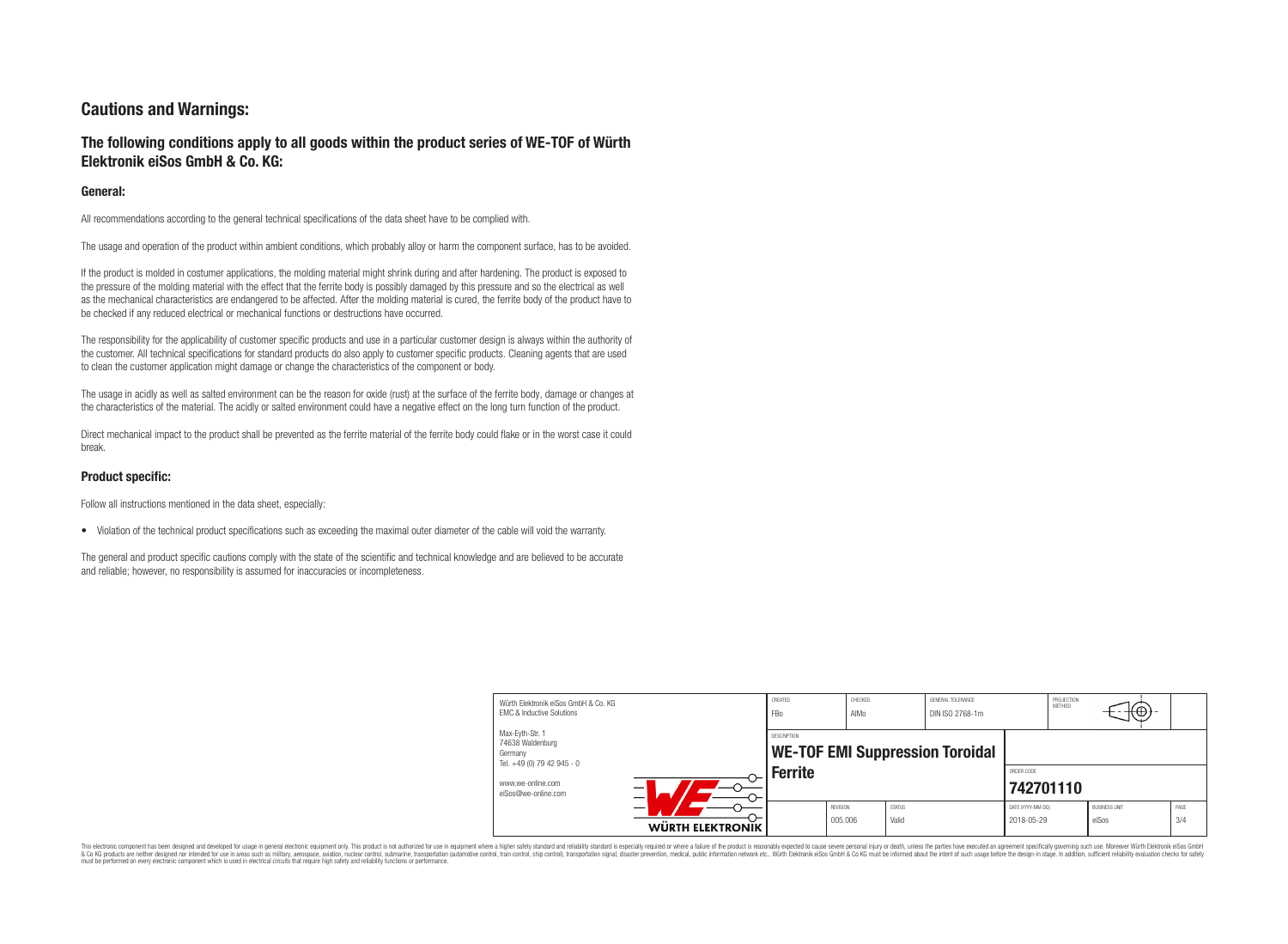# **Cautions and Warnings:**

# **The following conditions apply to all goods within the product series of WE-TOF of Würth Elektronik eiSos GmbH & Co. KG:**

## **General:**

All recommendations according to the general technical specifications of the data sheet have to be complied with.

The usage and operation of the product within ambient conditions, which probably alloy or harm the component surface, has to be avoided.

If the product is molded in costumer applications, the molding material might shrink during and after hardening. The product is exposed to the pressure of the molding material with the effect that the ferrite body is possibly damaged by this pressure and so the electrical as well as the mechanical characteristics are endangered to be affected. After the molding material is cured, the ferrite body of the product have to be checked if any reduced electrical or mechanical functions or destructions have occurred.

The responsibility for the applicability of customer specific products and use in a particular customer design is always within the authority of the customer. All technical specifications for standard products do also apply to customer specific products. Cleaning agents that are used to clean the customer application might damage or change the characteristics of the component or body.

The usage in acidly as well as salted environment can be the reason for oxide (rust) at the surface of the ferrite body, damage or changes at the characteristics of the material. The acidly or salted environment could have a negative effect on the long turn function of the product.

Direct mechanical impact to the product shall be prevented as the ferrite material of the ferrite body could flake or in the worst case it could break.

## **Product specific:**

Follow all instructions mentioned in the data sheet, especially:

• Violation of the technical product specifications such as exceeding the maximal outer diameter of the cable will void the warranty.

The general and product specific cautions comply with the state of the scientific and technical knowledge and are believed to be accurate and reliable; however, no responsibility is assumed for inaccuracies or incompleteness.

| Würth Elektronik eiSos GmbH & Co. KG<br><b>EMC &amp; Inductive Solutions</b> |                  | CREATED<br><b>FBo</b> | CHECKED<br>AIMo            |                                                       | GENERAL TOLERANCE<br>DIN ISO 2768-1m |                                 | PROJECTION<br><b>METHOD</b> | ⊥t⊕⊬                          |             |
|------------------------------------------------------------------------------|------------------|-----------------------|----------------------------|-------------------------------------------------------|--------------------------------------|---------------------------------|-----------------------------|-------------------------------|-------------|
| Max-Eyth-Str. 1<br>74638 Waldenburg<br>Germany<br>Tel. +49 (0) 79 42 945 - 0 |                  |                       |                            | DESCRIPTION<br><b>WE-TOF EMI Suppression Toroidal</b> |                                      |                                 |                             |                               |             |
| www.we-online.com<br>eiSos@we-online.com                                     | <b>Ferrite</b>   |                       |                            |                                                       | ORDER CODE<br>742701110              |                                 |                             |                               |             |
|                                                                              | WÜRTH ELEKTRONIK |                       | <b>REVISION</b><br>005.006 | <b>STATUS</b><br>Valid                                |                                      | DATE (YYYY-MM-DD)<br>2018-05-29 |                             | <b>BUSINESS UNIT</b><br>eiSos | PAGE<br>3/4 |

This electronic component has been designed and developed for usage in general electronic equipment only. This product is not authorized for use in equipment where a higher safety standard and reliability standard is espec & Ook product a label and the membed of the seasuch as marked and as which such a membed and the such assume that income in the seasuch and the simulation and the such assume that include to the such a membed and the such